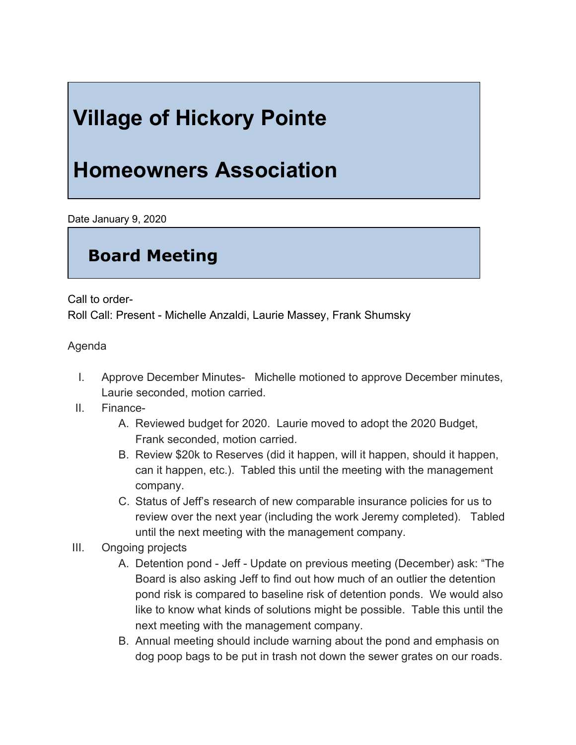## **Village of Hickory Pointe**

## **Homeowners Association**

Date January 9, 2020

## **Board Meeting**

Call to order-

Roll Call: Present - Michelle Anzaldi, Laurie Massey, Frank Shumsky

Agenda

- I. Approve December Minutes- Michelle motioned to approve December minutes, Laurie seconded, motion carried.
- II. Finance-
	- A. Reviewed budget for 2020. Laurie moved to adopt the 2020 Budget, Frank seconded, motion carried.
	- B. Review \$20k to Reserves (did it happen, will it happen, should it happen, can it happen, etc.). Tabled this until the meeting with the management company.
	- C. Status of Jeff's research of new comparable insurance policies for us to review over the next year (including the work Jeremy completed). Tabled until the next meeting with the management company.
- III. Ongoing projects
	- A. Detention pond Jeff Update on previous meeting (December) ask: "The Board is also asking Jeff to find out how much of an outlier the detention pond risk is compared to baseline risk of detention ponds. We would also like to know what kinds of solutions might be possible. Table this until the next meeting with the management company.
	- B. Annual meeting should include warning about the pond and emphasis on dog poop bags to be put in trash not down the sewer grates on our roads.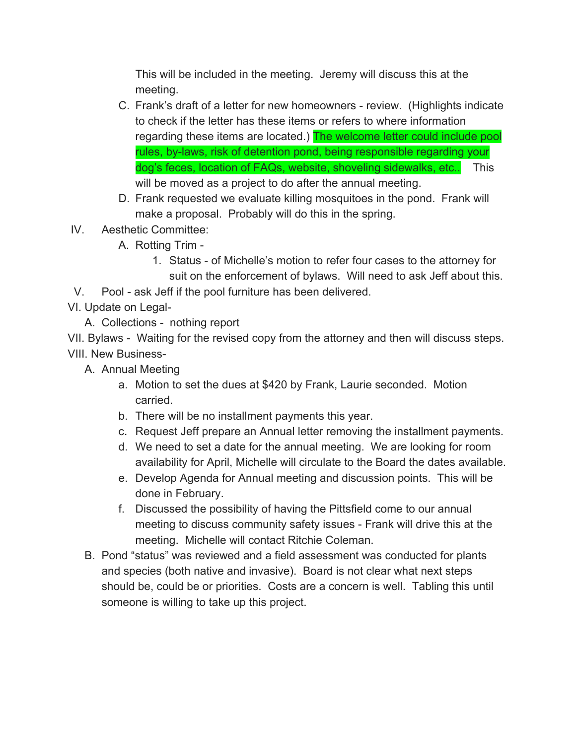This will be included in the meeting. Jeremy will discuss this at the meeting.

- C. Frank's draft of a letter for new homeowners review. (Highlights indicate to check if the letter has these items or refers to where information regarding these items are located.) The welcome letter could include pool rules, by-laws, risk of detention pond, being responsible regarding your dog's feces, location of FAQs, website, shoveling sidewalks, etc.. This will be moved as a project to do after the annual meeting.
- D. Frank requested we evaluate killing mosquitoes in the pond. Frank will make a proposal. Probably will do this in the spring.
- IV. Aesthetic Committee:
	- A. Rotting Trim
		- 1. Status of Michelle's motion to refer four cases to the attorney for suit on the enforcement of bylaws. Will need to ask Jeff about this.
- V. Pool ask Jeff if the pool furniture has been delivered.
- VI. Update on Legal-
	- A. Collections nothing report

VII. Bylaws - Waiting for the revised copy from the attorney and then will discuss steps. VIII. New Business-

- A. Annual Meeting
	- a. Motion to set the dues at \$420 by Frank, Laurie seconded. Motion carried.
	- b. There will be no installment payments this year.
	- c. Request Jeff prepare an Annual letter removing the installment payments.
	- d. We need to set a date for the annual meeting. We are looking for room availability for April, Michelle will circulate to the Board the dates available.
	- e. Develop Agenda for Annual meeting and discussion points. This will be done in February.
	- f. Discussed the possibility of having the Pittsfield come to our annual meeting to discuss community safety issues - Frank will drive this at the meeting. Michelle will contact Ritchie Coleman.
- B. Pond "status" was reviewed and a field assessment was conducted for plants and species (both native and invasive). Board is not clear what next steps should be, could be or priorities. Costs are a concern is well. Tabling this until someone is willing to take up this project.